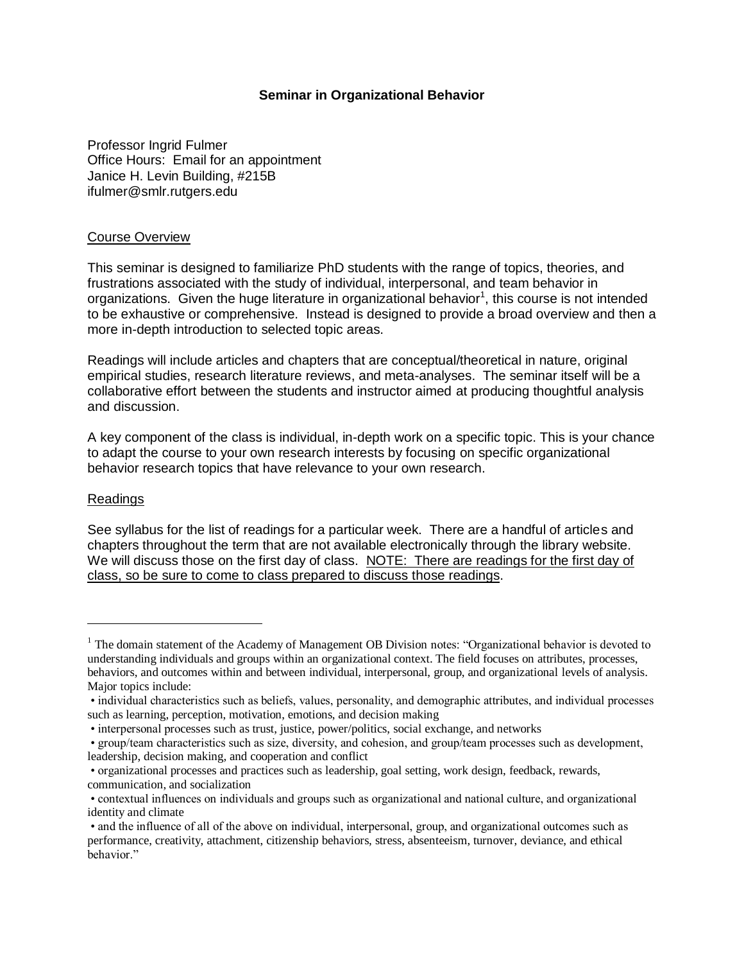#### **Seminar in Organizational Behavior**

Professor Ingrid Fulmer Office Hours: Email for an appointment Janice H. Levin Building, #215B ifulmer@smlr.rutgers.edu

#### Course Overview

This seminar is designed to familiarize PhD students with the range of topics, theories, and frustrations associated with the study of individual, interpersonal, and team behavior in organizations. Given the huge literature in organizational behavior<sup>1</sup>, this course is not intended to be exhaustive or comprehensive. Instead is designed to provide a broad overview and then a more in-depth introduction to selected topic areas.

Readings will include articles and chapters that are conceptual/theoretical in nature, original empirical studies, research literature reviews, and meta-analyses. The seminar itself will be a collaborative effort between the students and instructor aimed at producing thoughtful analysis and discussion.

A key component of the class is individual, in-depth work on a specific topic. This is your chance to adapt the course to your own research interests by focusing on specific organizational behavior research topics that have relevance to your own research.

#### Readings

 $\overline{a}$ 

See syllabus for the list of readings for a particular week. There are a handful of articles and chapters throughout the term that are not available electronically through the library website. We will discuss those on the first day of class. NOTE: There are readings for the first day of class, so be sure to come to class prepared to discuss those readings.

<sup>&</sup>lt;sup>1</sup> The domain statement of the Academy of Management OB Division notes: "Organizational behavior is devoted to understanding individuals and groups within an organizational context. The field focuses on attributes, processes, behaviors, and outcomes within and between individual, interpersonal, group, and organizational levels of analysis. Major topics include:

<sup>•</sup> individual characteristics such as beliefs, values, personality, and demographic attributes, and individual processes such as learning, perception, motivation, emotions, and decision making

<sup>•</sup> interpersonal processes such as trust, justice, power/politics, social exchange, and networks

<sup>•</sup> group/team characteristics such as size, diversity, and cohesion, and group/team processes such as development, leadership, decision making, and cooperation and conflict

<sup>•</sup> organizational processes and practices such as leadership, goal setting, work design, feedback, rewards, communication, and socialization

<sup>•</sup> contextual influences on individuals and groups such as organizational and national culture, and organizational identity and climate

<sup>•</sup> and the influence of all of the above on individual, interpersonal, group, and organizational outcomes such as performance, creativity, attachment, citizenship behaviors, stress, absenteeism, turnover, deviance, and ethical behavior."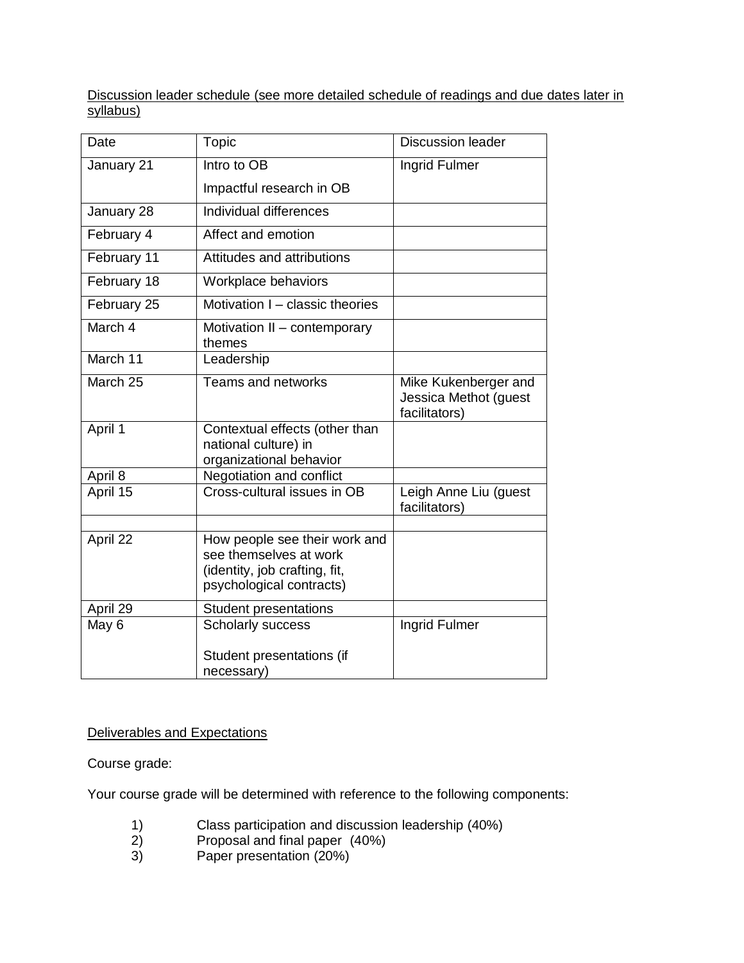Discussion leader schedule (see more detailed schedule of readings and due dates later in syllabus)

| Date        | <b>Topic</b>                                                                                                         | <b>Discussion leader</b>                                       |
|-------------|----------------------------------------------------------------------------------------------------------------------|----------------------------------------------------------------|
| January 21  | Intro to OB                                                                                                          | Ingrid Fulmer                                                  |
|             | Impactful research in OB                                                                                             |                                                                |
| January 28  | Individual differences                                                                                               |                                                                |
| February 4  | Affect and emotion                                                                                                   |                                                                |
| February 11 | Attitudes and attributions                                                                                           |                                                                |
| February 18 | Workplace behaviors                                                                                                  |                                                                |
| February 25 | Motivation I - classic theories                                                                                      |                                                                |
| March 4     | Motivation II - contemporary<br>themes                                                                               |                                                                |
| March 11    | Leadership                                                                                                           |                                                                |
| March 25    | <b>Teams and networks</b>                                                                                            | Mike Kukenberger and<br>Jessica Methot (guest<br>facilitators) |
| April 1     | Contextual effects (other than<br>national culture) in<br>organizational behavior                                    |                                                                |
| April 8     | Negotiation and conflict                                                                                             |                                                                |
| April 15    | Cross-cultural issues in OB                                                                                          | Leigh Anne Liu (guest<br>facilitators)                         |
| April 22    | How people see their work and<br>see themselves at work<br>(identity, job crafting, fit,<br>psychological contracts) |                                                                |
| April 29    | <b>Student presentations</b>                                                                                         |                                                                |
| May 6       | Scholarly success                                                                                                    | Ingrid Fulmer                                                  |
|             | Student presentations (if<br>necessary)                                                                              |                                                                |

# Deliverables and Expectations

Course grade:

Your course grade will be determined with reference to the following components:

- 1) Class participation and discussion leadership (40%)<br>2) Proposal and final paper (40%)
- 2) Proposal and final paper (40%)<br>3) Paper presentation (20%)
- Paper presentation (20%)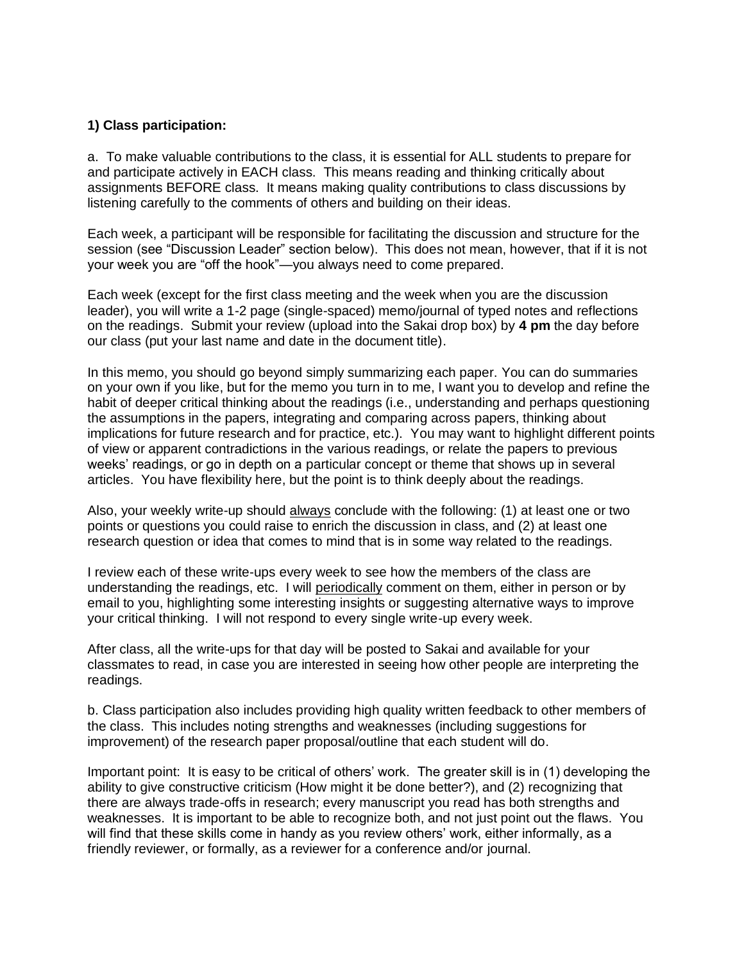### **1) Class participation:**

a. To make valuable contributions to the class, it is essential for ALL students to prepare for and participate actively in EACH class. This means reading and thinking critically about assignments BEFORE class. It means making quality contributions to class discussions by listening carefully to the comments of others and building on their ideas.

Each week, a participant will be responsible for facilitating the discussion and structure for the session (see "Discussion Leader" section below). This does not mean, however, that if it is not your week you are "off the hook"—you always need to come prepared.

Each week (except for the first class meeting and the week when you are the discussion leader), you will write a 1-2 page (single-spaced) memo/journal of typed notes and reflections on the readings. Submit your review (upload into the Sakai drop box) by **4 pm** the day before our class (put your last name and date in the document title).

In this memo, you should go beyond simply summarizing each paper. You can do summaries on your own if you like, but for the memo you turn in to me, I want you to develop and refine the habit of deeper critical thinking about the readings (i.e., understanding and perhaps questioning the assumptions in the papers, integrating and comparing across papers, thinking about implications for future research and for practice, etc.). You may want to highlight different points of view or apparent contradictions in the various readings, or relate the papers to previous weeks' readings, or go in depth on a particular concept or theme that shows up in several articles. You have flexibility here, but the point is to think deeply about the readings.

Also, your weekly write-up should always conclude with the following: (1) at least one or two points or questions you could raise to enrich the discussion in class, and (2) at least one research question or idea that comes to mind that is in some way related to the readings.

I review each of these write-ups every week to see how the members of the class are understanding the readings, etc. I will periodically comment on them, either in person or by email to you, highlighting some interesting insights or suggesting alternative ways to improve your critical thinking. I will not respond to every single write-up every week.

After class, all the write-ups for that day will be posted to Sakai and available for your classmates to read, in case you are interested in seeing how other people are interpreting the readings.

b. Class participation also includes providing high quality written feedback to other members of the class. This includes noting strengths and weaknesses (including suggestions for improvement) of the research paper proposal/outline that each student will do.

Important point: It is easy to be critical of others' work. The greater skill is in (1) developing the ability to give constructive criticism (How might it be done better?), and (2) recognizing that there are always trade-offs in research; every manuscript you read has both strengths and weaknesses. It is important to be able to recognize both, and not just point out the flaws. You will find that these skills come in handy as you review others' work, either informally, as a friendly reviewer, or formally, as a reviewer for a conference and/or journal.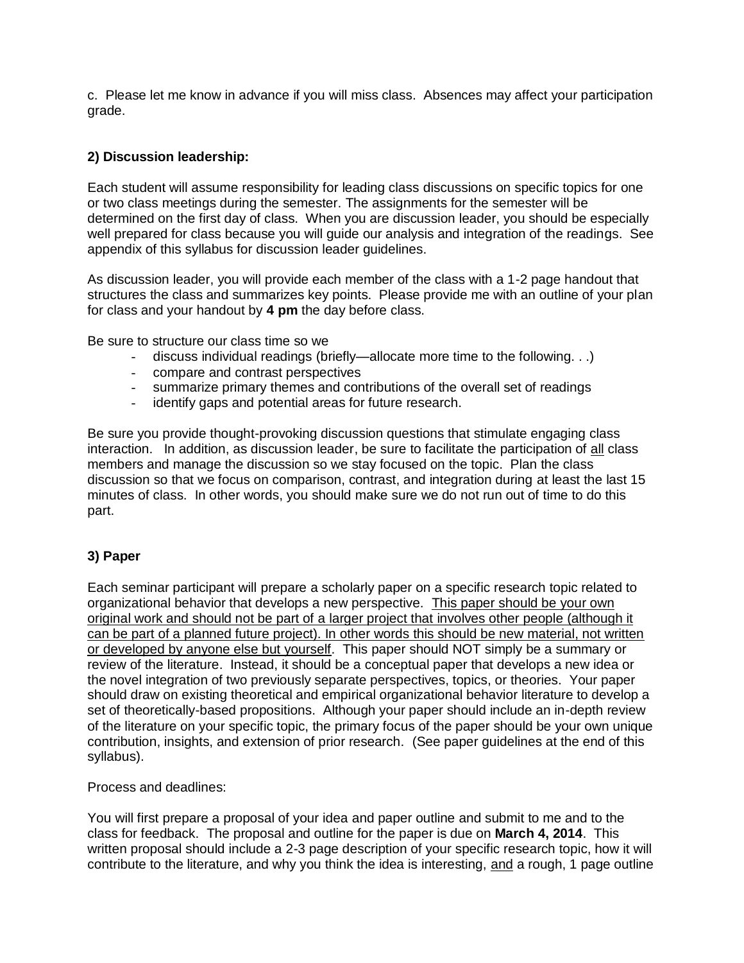c. Please let me know in advance if you will miss class. Absences may affect your participation grade.

## **2) Discussion leadership:**

Each student will assume responsibility for leading class discussions on specific topics for one or two class meetings during the semester. The assignments for the semester will be determined on the first day of class. When you are discussion leader, you should be especially well prepared for class because you will guide our analysis and integration of the readings. See appendix of this syllabus for discussion leader guidelines.

As discussion leader, you will provide each member of the class with a 1-2 page handout that structures the class and summarizes key points. Please provide me with an outline of your plan for class and your handout by **4 pm** the day before class.

Be sure to structure our class time so we

- discuss individual readings (briefly—allocate more time to the following. . .)
- compare and contrast perspectives
- summarize primary themes and contributions of the overall set of readings
- identify gaps and potential areas for future research.

Be sure you provide thought-provoking discussion questions that stimulate engaging class interaction. In addition, as discussion leader, be sure to facilitate the participation of all class members and manage the discussion so we stay focused on the topic. Plan the class discussion so that we focus on comparison, contrast, and integration during at least the last 15 minutes of class. In other words, you should make sure we do not run out of time to do this part.

### **3) Paper**

Each seminar participant will prepare a scholarly paper on a specific research topic related to organizational behavior that develops a new perspective. This paper should be your own original work and should not be part of a larger project that involves other people (although it can be part of a planned future project). In other words this should be new material, not written or developed by anyone else but yourself. This paper should NOT simply be a summary or review of the literature. Instead, it should be a conceptual paper that develops a new idea or the novel integration of two previously separate perspectives, topics, or theories. Your paper should draw on existing theoretical and empirical organizational behavior literature to develop a set of theoretically-based propositions. Although your paper should include an in-depth review of the literature on your specific topic, the primary focus of the paper should be your own unique contribution, insights, and extension of prior research. (See paper guidelines at the end of this syllabus).

Process and deadlines:

You will first prepare a proposal of your idea and paper outline and submit to me and to the class for feedback. The proposal and outline for the paper is due on **March 4, 2014**. This written proposal should include a 2-3 page description of your specific research topic, how it will contribute to the literature, and why you think the idea is interesting, and a rough, 1 page outline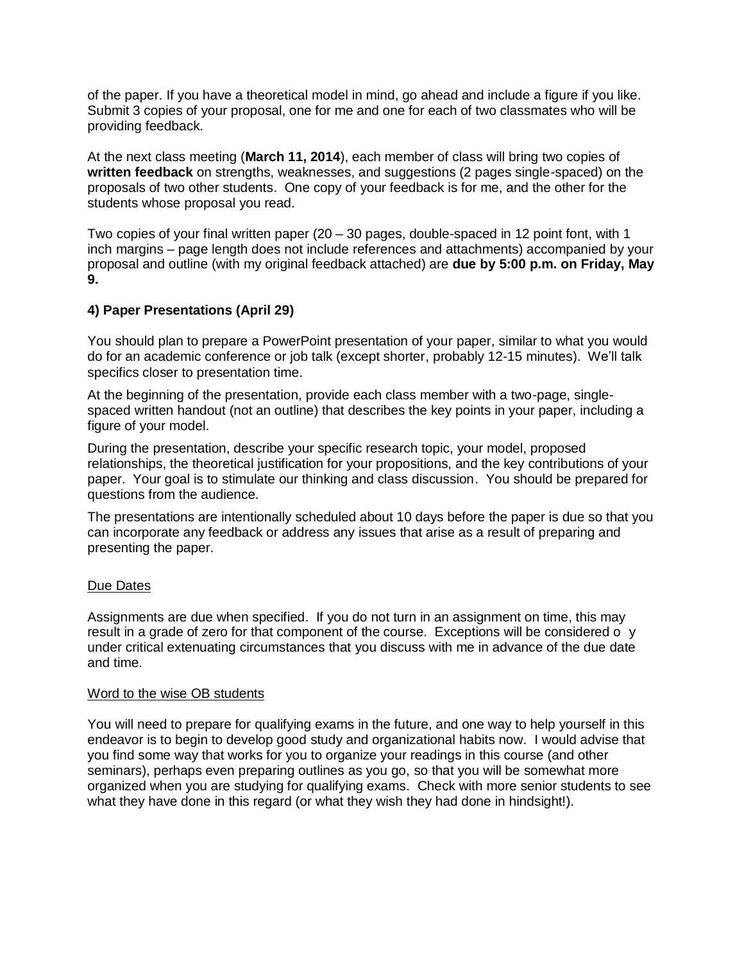of the paper. If you have a theoretical model in mind, go ahead and include a figure if you like. Submit 3 copies of your proposal, one for me and one for each of two classmates who will be providing feedback.

At the next class meeting (**March 11, 2014**), each member of class will bring two copies of **written feedback** on strengths, weaknesses, and suggestions (2 pages single-spaced) on the proposals of two other students. One copy of your feedback is for me, and the other for the students whose proposal you read.

Two copies of your final written paper (20 – 30 pages, double-spaced in 12 point font, with 1 inch margins – page length does not include references and attachments) accompanied by your proposal and outline (with my original feedback attached) are **due by 5:00 p.m. on Friday, May 9.**

### **4) Paper Presentations (April 29)**

You should plan to prepare a PowerPoint presentation of your paper, similar to what you would do for an academic conference or job talk (except shorter, probably 12-15 minutes). We'll talk specifics closer to presentation time.

At the beginning of the presentation, provide each class member with a two-page, singlespaced written handout (not an outline) that describes the key points in your paper, including a figure of your model.

During the presentation, describe your specific research topic, your model, proposed relationships, the theoretical justification for your propositions, and the key contributions of your paper. Your goal is to stimulate our thinking and class discussion. You should be prepared for questions from the audience.

The presentations are intentionally scheduled about 10 days before the paper is due so that you can incorporate any feedback or address any issues that arise as a result of preparing and presenting the paper.

#### Due Dates

Assignments are due when specified. If you do not turn in an assignment on time, this may result in a grade of zero for that component of the course. Exceptions will be considered o y under critical extenuating circumstances that you discuss with me in advance of the due date and time.

#### Word to the wise OB students

You will need to prepare for qualifying exams in the future, and one way to help yourself in this endeavor is to begin to develop good study and organizational habits now. I would advise that you find some way that works for you to organize your readings in this course (and other seminars), perhaps even preparing outlines as you go, so that you will be somewhat more organized when you are studying for qualifying exams. Check with more senior students to see what they have done in this regard (or what they wish they had done in hindsight!).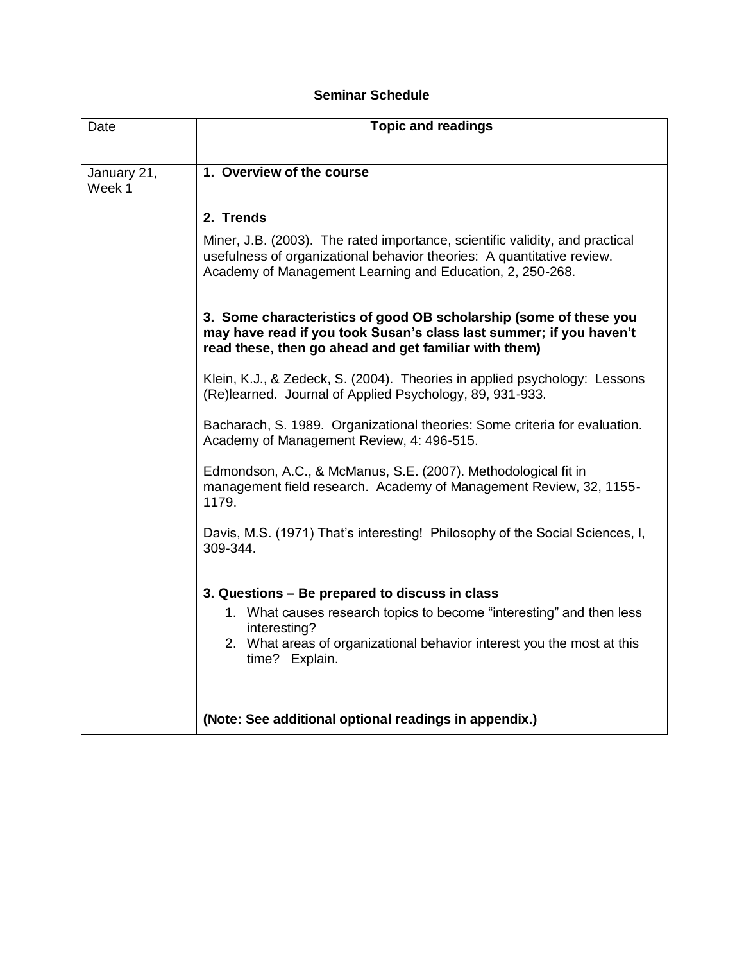# **Seminar Schedule**

| Date                  | <b>Topic and readings</b>                                                                                                                                                                                           |
|-----------------------|---------------------------------------------------------------------------------------------------------------------------------------------------------------------------------------------------------------------|
|                       |                                                                                                                                                                                                                     |
| January 21,<br>Week 1 | 1. Overview of the course                                                                                                                                                                                           |
|                       | 2. Trends                                                                                                                                                                                                           |
|                       | Miner, J.B. (2003). The rated importance, scientific validity, and practical<br>usefulness of organizational behavior theories: A quantitative review.<br>Academy of Management Learning and Education, 2, 250-268. |
|                       | 3. Some characteristics of good OB scholarship (some of these you<br>may have read if you took Susan's class last summer; if you haven't<br>read these, then go ahead and get familiar with them)                   |
|                       | Klein, K.J., & Zedeck, S. (2004). Theories in applied psychology: Lessons<br>(Re)learned. Journal of Applied Psychology, 89, 931-933.                                                                               |
|                       | Bacharach, S. 1989. Organizational theories: Some criteria for evaluation.<br>Academy of Management Review, 4: 496-515.                                                                                             |
|                       | Edmondson, A.C., & McManus, S.E. (2007). Methodological fit in<br>management field research. Academy of Management Review, 32, 1155-<br>1179.                                                                       |
|                       | Davis, M.S. (1971) That's interesting! Philosophy of the Social Sciences, I,<br>309-344.                                                                                                                            |
|                       | 3. Questions – Be prepared to discuss in class                                                                                                                                                                      |
|                       | 1. What causes research topics to become "interesting" and then less<br>interesting?                                                                                                                                |
|                       | 2. What areas of organizational behavior interest you the most at this<br>time? Explain.                                                                                                                            |
|                       |                                                                                                                                                                                                                     |
|                       | (Note: See additional optional readings in appendix.)                                                                                                                                                               |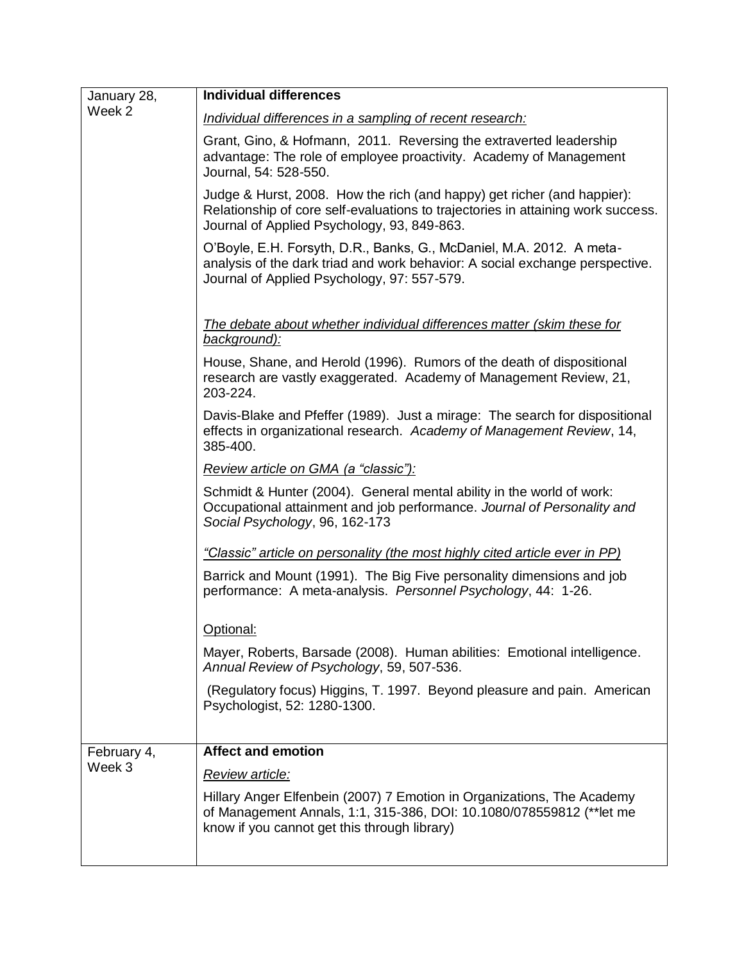| January 28,           | <b>Individual differences</b>                                                                                                                                                                              |
|-----------------------|------------------------------------------------------------------------------------------------------------------------------------------------------------------------------------------------------------|
| Week 2                | Individual differences in a sampling of recent research:                                                                                                                                                   |
|                       | Grant, Gino, & Hofmann, 2011. Reversing the extraverted leadership<br>advantage: The role of employee proactivity. Academy of Management<br>Journal, 54: 528-550.                                          |
|                       | Judge & Hurst, 2008. How the rich (and happy) get richer (and happier):<br>Relationship of core self-evaluations to trajectories in attaining work success.<br>Journal of Applied Psychology, 93, 849-863. |
|                       | O'Boyle, E.H. Forsyth, D.R., Banks, G., McDaniel, M.A. 2012. A meta-<br>analysis of the dark triad and work behavior: A social exchange perspective.<br>Journal of Applied Psychology, 97: 557-579.        |
|                       | The debate about whether individual differences matter (skim these for<br>background):                                                                                                                     |
|                       | House, Shane, and Herold (1996). Rumors of the death of dispositional<br>research are vastly exaggerated. Academy of Management Review, 21,<br>203-224.                                                    |
|                       | Davis-Blake and Pfeffer (1989). Just a mirage: The search for dispositional<br>effects in organizational research. Academy of Management Review, 14,<br>385-400.                                           |
|                       | Review article on GMA (a "classic"):                                                                                                                                                                       |
|                       | Schmidt & Hunter (2004). General mental ability in the world of work:<br>Occupational attainment and job performance. Journal of Personality and<br>Social Psychology, 96, 162-173                         |
|                       | "Classic" article on personality (the most highly cited article ever in PP)                                                                                                                                |
|                       | Barrick and Mount (1991). The Big Five personality dimensions and job<br>performance: A meta-analysis. Personnel Psychology, 44: 1-26.                                                                     |
|                       | Optional:                                                                                                                                                                                                  |
|                       | Mayer, Roberts, Barsade (2008). Human abilities: Emotional intelligence.<br>Annual Review of Psychology, 59, 507-536.                                                                                      |
|                       | (Regulatory focus) Higgins, T. 1997. Beyond pleasure and pain. American<br>Psychologist, 52: 1280-1300.                                                                                                    |
|                       |                                                                                                                                                                                                            |
| February 4,<br>Week 3 | <b>Affect and emotion</b>                                                                                                                                                                                  |
|                       | Review article:                                                                                                                                                                                            |
|                       | Hillary Anger Elfenbein (2007) 7 Emotion in Organizations, The Academy<br>of Management Annals, 1:1, 315-386, DOI: 10.1080/078559812 (** let me<br>know if you cannot get this through library)            |
|                       |                                                                                                                                                                                                            |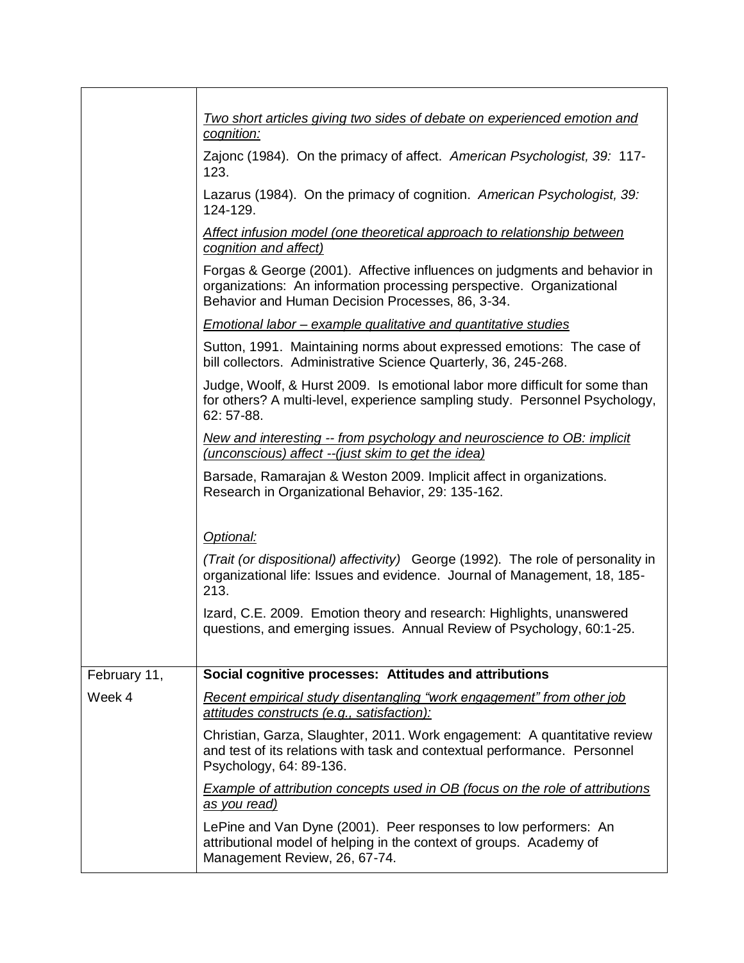|              | Two short articles giving two sides of debate on experienced emotion and<br>cognition:                                                                                                                |
|--------------|-------------------------------------------------------------------------------------------------------------------------------------------------------------------------------------------------------|
|              | Zajonc (1984). On the primacy of affect. American Psychologist, 39: 117-<br>123.                                                                                                                      |
|              | Lazarus (1984). On the primacy of cognition. American Psychologist, 39:<br>124-129.                                                                                                                   |
|              | Affect infusion model (one theoretical approach to relationship between<br>cognition and affect)                                                                                                      |
|              | Forgas & George (2001). Affective influences on judgments and behavior in<br>organizations: An information processing perspective. Organizational<br>Behavior and Human Decision Processes, 86, 3-34. |
|              | <b>Emotional labor – example qualitative and quantitative studies</b>                                                                                                                                 |
|              | Sutton, 1991. Maintaining norms about expressed emotions: The case of<br>bill collectors. Administrative Science Quarterly, 36, 245-268.                                                              |
|              | Judge, Woolf, & Hurst 2009. Is emotional labor more difficult for some than<br>for others? A multi-level, experience sampling study. Personnel Psychology,<br>62: 57-88.                              |
|              | New and interesting -- from psychology and neuroscience to OB: implicit<br>(unconscious) affect -- (just skim to get the idea)                                                                        |
|              | Barsade, Ramarajan & Weston 2009. Implicit affect in organizations.<br>Research in Organizational Behavior, 29: 135-162.                                                                              |
|              | Optional:                                                                                                                                                                                             |
|              | (Trait (or dispositional) affectivity) George (1992). The role of personality in<br>organizational life: Issues and evidence. Journal of Management, 18, 185-<br>213.                                 |
|              | Izard, C.E. 2009. Emotion theory and research: Highlights, unanswered<br>questions, and emerging issues. Annual Review of Psychology, 60:1-25.                                                        |
| February 11, | Social cognitive processes: Attitudes and attributions                                                                                                                                                |
| Week 4       | Recent empirical study disentangling "work engagement" from other job<br>attitudes constructs (e.g., satisfaction):                                                                                   |
|              | Christian, Garza, Slaughter, 2011. Work engagement: A quantitative review<br>and test of its relations with task and contextual performance. Personnel<br>Psychology, 64: 89-136.                     |
|              | <b>Example of attribution concepts used in OB (focus on the role of attributions)</b><br>as you read)                                                                                                 |
|              | LePine and Van Dyne (2001). Peer responses to low performers: An<br>attributional model of helping in the context of groups. Academy of<br>Management Review, 26, 67-74.                              |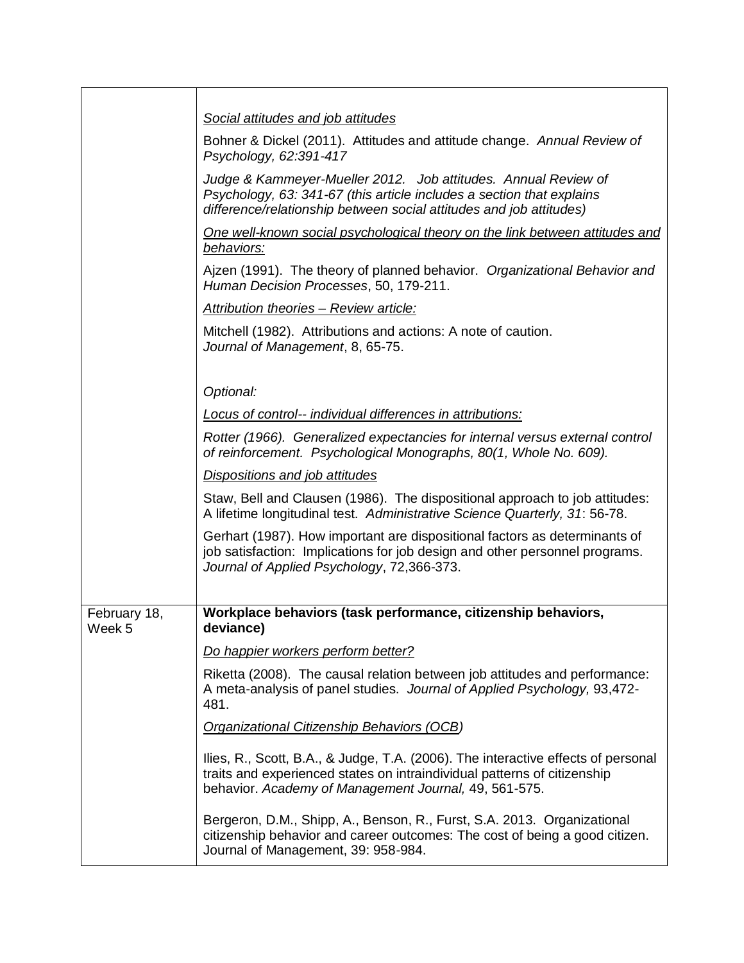|                        | Social attitudes and job attitudes                                                                                                                                                                                     |
|------------------------|------------------------------------------------------------------------------------------------------------------------------------------------------------------------------------------------------------------------|
|                        | Bohner & Dickel (2011). Attitudes and attitude change. Annual Review of<br>Psychology, 62:391-417                                                                                                                      |
|                        | Judge & Kammeyer-Mueller 2012. Job attitudes. Annual Review of<br>Psychology, 63: 341-67 (this article includes a section that explains<br>difference/relationship between social attitudes and job attitudes)         |
|                        | One well-known social psychological theory on the link between attitudes and<br>behaviors:                                                                                                                             |
|                        | Ajzen (1991). The theory of planned behavior. Organizational Behavior and<br>Human Decision Processes, 50, 179-211.                                                                                                    |
|                        | Attribution theories - Review article:                                                                                                                                                                                 |
|                        | Mitchell (1982). Attributions and actions: A note of caution.<br>Journal of Management, 8, 65-75.                                                                                                                      |
|                        |                                                                                                                                                                                                                        |
|                        | Optional:                                                                                                                                                                                                              |
|                        | Locus of control-- individual differences in attributions:                                                                                                                                                             |
|                        | Rotter (1966). Generalized expectancies for internal versus external control<br>of reinforcement. Psychological Monographs, 80(1, Whole No. 609).                                                                      |
|                        | Dispositions and job attitudes                                                                                                                                                                                         |
|                        | Staw, Bell and Clausen (1986). The dispositional approach to job attitudes:<br>A lifetime longitudinal test. Administrative Science Quarterly, 31: 56-78.                                                              |
|                        | Gerhart (1987). How important are dispositional factors as determinants of<br>job satisfaction: Implications for job design and other personnel programs.<br>Journal of Applied Psychology, 72,366-373.                |
|                        |                                                                                                                                                                                                                        |
| February 18,<br>Week 5 | Workplace behaviors (task performance, citizenship behaviors,<br>deviance)                                                                                                                                             |
|                        | Do happier workers perform better?                                                                                                                                                                                     |
|                        | Riketta (2008). The causal relation between job attitudes and performance:<br>A meta-analysis of panel studies. Journal of Applied Psychology, 93,472-<br>481.                                                         |
|                        | Organizational Citizenship Behaviors (OCB)                                                                                                                                                                             |
|                        | Ilies, R., Scott, B.A., & Judge, T.A. (2006). The interactive effects of personal<br>traits and experienced states on intraindividual patterns of citizenship<br>behavior. Academy of Management Journal, 49, 561-575. |
|                        | Bergeron, D.M., Shipp, A., Benson, R., Furst, S.A. 2013. Organizational<br>citizenship behavior and career outcomes: The cost of being a good citizen.<br>Journal of Management, 39: 958-984.                          |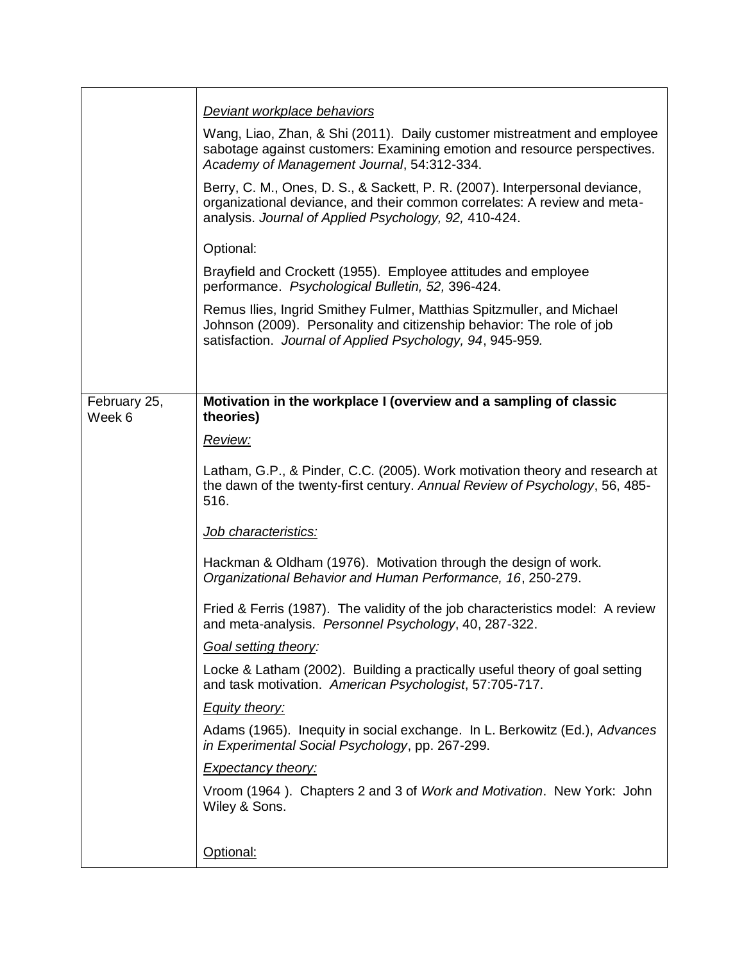|                        | Deviant workplace behaviors                                                                                                                                                                                      |
|------------------------|------------------------------------------------------------------------------------------------------------------------------------------------------------------------------------------------------------------|
|                        | Wang, Liao, Zhan, & Shi (2011). Daily customer mistreatment and employee<br>sabotage against customers: Examining emotion and resource perspectives.<br>Academy of Management Journal, 54:312-334.               |
|                        | Berry, C. M., Ones, D. S., & Sackett, P. R. (2007). Interpersonal deviance,<br>organizational deviance, and their common correlates: A review and meta-<br>analysis. Journal of Applied Psychology, 92, 410-424. |
|                        | Optional:                                                                                                                                                                                                        |
|                        | Brayfield and Crockett (1955). Employee attitudes and employee<br>performance. Psychological Bulletin, 52, 396-424.                                                                                              |
|                        | Remus Ilies, Ingrid Smithey Fulmer, Matthias Spitzmuller, and Michael<br>Johnson (2009). Personality and citizenship behavior: The role of job<br>satisfaction. Journal of Applied Psychology, 94, 945-959.      |
|                        |                                                                                                                                                                                                                  |
| February 25,<br>Week 6 | Motivation in the workplace I (overview and a sampling of classic<br>theories)                                                                                                                                   |
|                        | Review:                                                                                                                                                                                                          |
|                        | Latham, G.P., & Pinder, C.C. (2005). Work motivation theory and research at<br>the dawn of the twenty-first century. Annual Review of Psychology, 56, 485-<br>516.                                               |
|                        | Job characteristics:                                                                                                                                                                                             |
|                        | Hackman & Oldham (1976). Motivation through the design of work.<br>Organizational Behavior and Human Performance, 16, 250-279.                                                                                   |
|                        | Fried & Ferris (1987). The validity of the job characteristics model: A review<br>and meta-analysis. Personnel Psychology, 40, 287-322.                                                                          |
|                        | Goal setting theory:                                                                                                                                                                                             |
|                        | Locke & Latham (2002). Building a practically useful theory of goal setting<br>and task motivation. American Psychologist, 57:705-717.                                                                           |
|                        | <b>Equity theory:</b>                                                                                                                                                                                            |
|                        | Adams (1965). Inequity in social exchange. In L. Berkowitz (Ed.), Advances<br>in Experimental Social Psychology, pp. 267-299.                                                                                    |
|                        | <b>Expectancy theory:</b>                                                                                                                                                                                        |
|                        | Vroom (1964). Chapters 2 and 3 of Work and Motivation. New York: John<br>Wiley & Sons.                                                                                                                           |
|                        | Optional:                                                                                                                                                                                                        |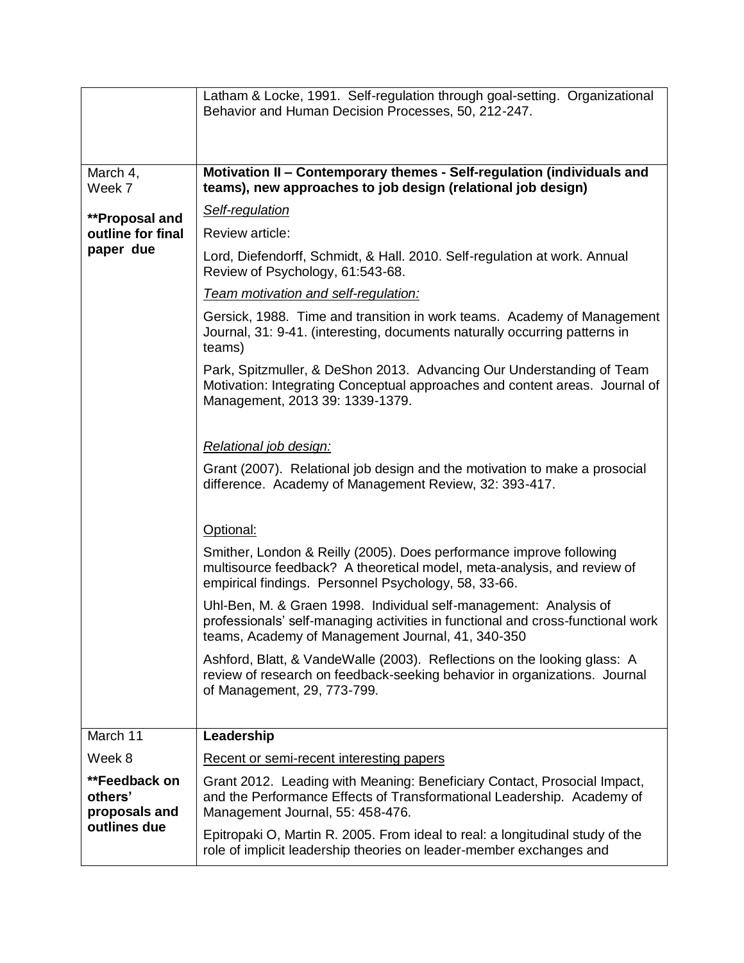|                                                           | Latham & Locke, 1991. Self-regulation through goal-setting. Organizational<br>Behavior and Human Decision Processes, 50, 212-247.                                                                         |
|-----------------------------------------------------------|-----------------------------------------------------------------------------------------------------------------------------------------------------------------------------------------------------------|
| March 4,<br>Week 7                                        | Motivation II - Contemporary themes - Self-regulation (individuals and<br>teams), new approaches to job design (relational job design)                                                                    |
| **Proposal and                                            | Self-regulation                                                                                                                                                                                           |
| outline for final                                         | Review article:                                                                                                                                                                                           |
| paper due                                                 | Lord, Diefendorff, Schmidt, & Hall. 2010. Self-regulation at work. Annual<br>Review of Psychology, 61:543-68.                                                                                             |
|                                                           | Team motivation and self-regulation:                                                                                                                                                                      |
|                                                           | Gersick, 1988. Time and transition in work teams. Academy of Management<br>Journal, 31: 9-41. (interesting, documents naturally occurring patterns in<br>teams)                                           |
|                                                           | Park, Spitzmuller, & DeShon 2013. Advancing Our Understanding of Team<br>Motivation: Integrating Conceptual approaches and content areas. Journal of<br>Management, 2013 39: 1339-1379.                   |
|                                                           | Relational job design:<br>Grant (2007). Relational job design and the motivation to make a prosocial                                                                                                      |
|                                                           | difference. Academy of Management Review, 32: 393-417.                                                                                                                                                    |
|                                                           | Optional:                                                                                                                                                                                                 |
|                                                           | Smither, London & Reilly (2005). Does performance improve following<br>multisource feedback? A theoretical model, meta-analysis, and review of<br>empirical findings. Personnel Psychology, 58, 33-66.    |
|                                                           | Uhl-Ben, M. & Graen 1998. Individual self-management: Analysis of<br>professionals' self-managing activities in functional and cross-functional work<br>teams, Academy of Management Journal, 41, 340-350 |
|                                                           | Ashford, Blatt, & VandeWalle (2003). Reflections on the looking glass: A<br>review of research on feedback-seeking behavior in organizations. Journal<br>of Management, 29, 773-799.                      |
| March 11                                                  |                                                                                                                                                                                                           |
|                                                           | Leadership                                                                                                                                                                                                |
| Week 8                                                    | Recent or semi-recent interesting papers                                                                                                                                                                  |
| **Feedback on<br>others'<br>proposals and<br>outlines due | Grant 2012. Leading with Meaning: Beneficiary Contact, Prosocial Impact,<br>and the Performance Effects of Transformational Leadership. Academy of<br>Management Journal, 55: 458-476.                    |
|                                                           | Epitropaki O, Martin R. 2005. From ideal to real: a longitudinal study of the<br>role of implicit leadership theories on leader-member exchanges and                                                      |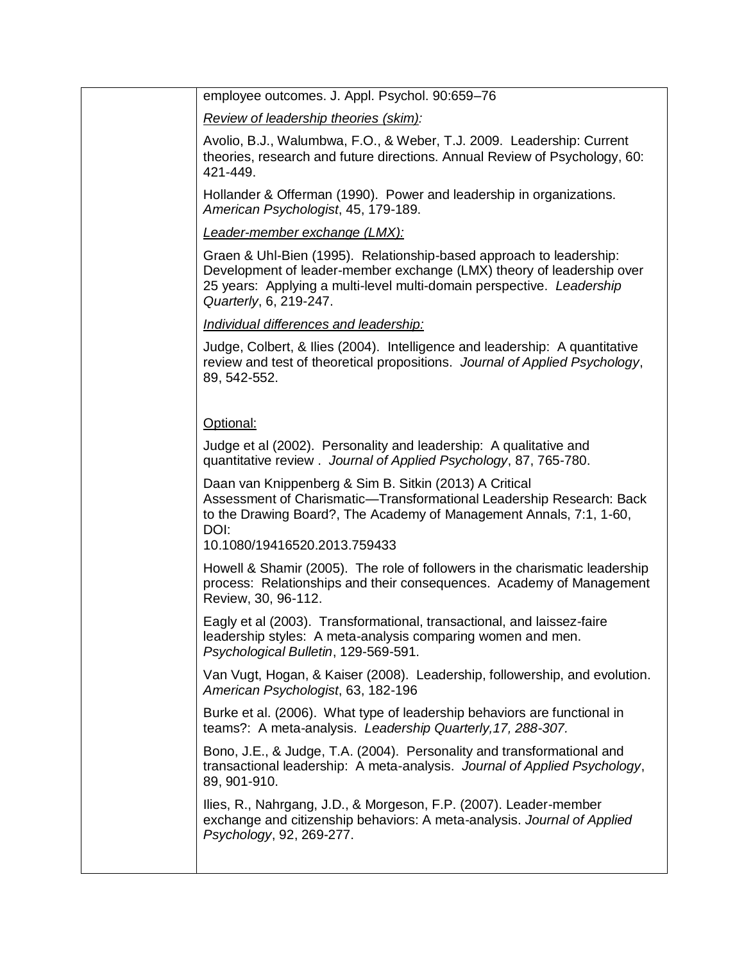| employee outcomes. J. Appl. Psychol. 90:659-76                                                                                                                                                                                                  |
|-------------------------------------------------------------------------------------------------------------------------------------------------------------------------------------------------------------------------------------------------|
| Review of leadership theories (skim):                                                                                                                                                                                                           |
| Avolio, B.J., Walumbwa, F.O., & Weber, T.J. 2009. Leadership: Current<br>theories, research and future directions. Annual Review of Psychology, 60:<br>421-449.                                                                                 |
| Hollander & Offerman (1990). Power and leadership in organizations.<br>American Psychologist, 45, 179-189.                                                                                                                                      |
| Leader-member exchange (LMX):                                                                                                                                                                                                                   |
| Graen & Uhl-Bien (1995). Relationship-based approach to leadership:<br>Development of leader-member exchange (LMX) theory of leadership over<br>25 years: Applying a multi-level multi-domain perspective. Leadership<br>Quarterly, 6, 219-247. |
| Individual differences and leadership:                                                                                                                                                                                                          |
| Judge, Colbert, & Ilies (2004). Intelligence and leadership: A quantitative<br>review and test of theoretical propositions. Journal of Applied Psychology,<br>89, 542-552.                                                                      |
| Optional:                                                                                                                                                                                                                                       |
| Judge et al (2002). Personality and leadership: A qualitative and<br>quantitative review. Journal of Applied Psychology, 87, 765-780.                                                                                                           |
| Daan van Knippenberg & Sim B. Sitkin (2013) A Critical<br>Assessment of Charismatic-Transformational Leadership Research: Back<br>to the Drawing Board?, The Academy of Management Annals, 7:1, 1-60,<br>DOI:<br>10.1080/19416520.2013.759433   |
| Howell & Shamir (2005). The role of followers in the charismatic leadership<br>process: Relationships and their consequences. Academy of Management<br>Review, 30, 96-112.                                                                      |
| Eagly et al (2003). Transformational, transactional, and laissez-faire<br>leadership styles: A meta-analysis comparing women and men.<br>Psychological Bulletin, 129-569-591.                                                                   |
| Van Vugt, Hogan, & Kaiser (2008). Leadership, followership, and evolution.<br>American Psychologist, 63, 182-196                                                                                                                                |
| Burke et al. (2006). What type of leadership behaviors are functional in<br>teams?: A meta-analysis. Leadership Quarterly, 17, 288-307.                                                                                                         |
| Bono, J.E., & Judge, T.A. (2004). Personality and transformational and<br>transactional leadership: A meta-analysis. Journal of Applied Psychology,<br>89, 901-910.                                                                             |
| Ilies, R., Nahrgang, J.D., & Morgeson, F.P. (2007). Leader-member<br>exchange and citizenship behaviors: A meta-analysis. Journal of Applied<br>Psychology, 92, 269-277.                                                                        |
|                                                                                                                                                                                                                                                 |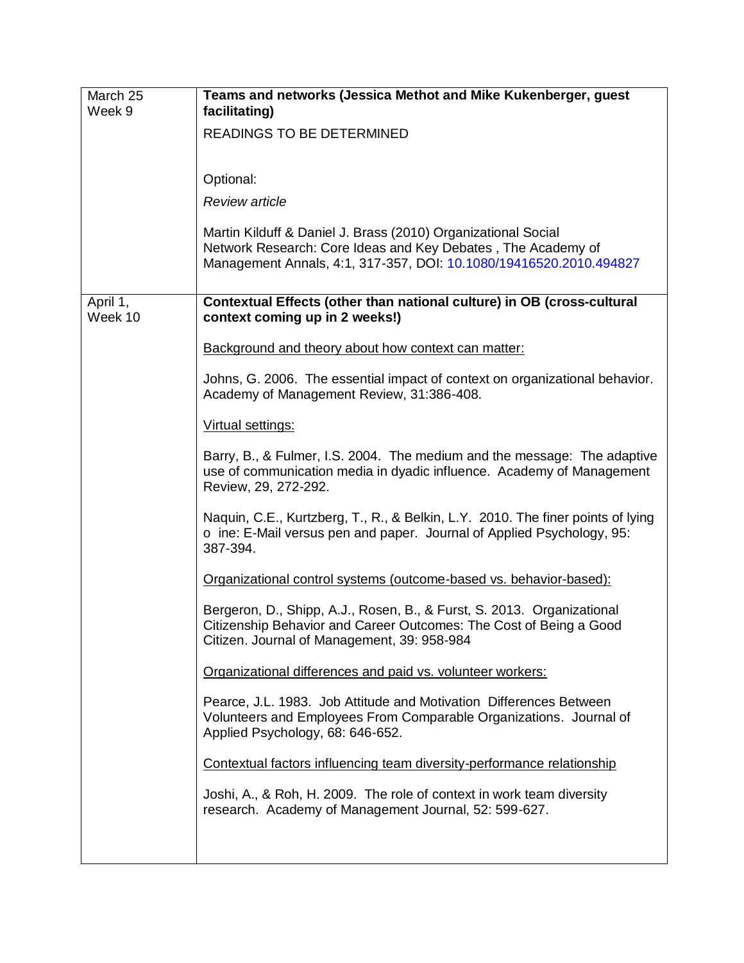| March 25<br>Week 9  | Teams and networks (Jessica Methot and Mike Kukenberger, guest<br>facilitating)                                                                                                                     |
|---------------------|-----------------------------------------------------------------------------------------------------------------------------------------------------------------------------------------------------|
|                     | READINGS TO BE DETERMINED                                                                                                                                                                           |
|                     | Optional:                                                                                                                                                                                           |
|                     | <b>Review article</b>                                                                                                                                                                               |
|                     | Martin Kilduff & Daniel J. Brass (2010) Organizational Social<br>Network Research: Core Ideas and Key Debates, The Academy of<br>Management Annals, 4:1, 317-357, DOI: 10.1080/19416520.2010.494827 |
| April 1,<br>Week 10 | Contextual Effects (other than national culture) in OB (cross-cultural<br>context coming up in 2 weeks!)                                                                                            |
|                     | Background and theory about how context can matter:                                                                                                                                                 |
|                     | Johns, G. 2006. The essential impact of context on organizational behavior.<br>Academy of Management Review, 31:386-408.                                                                            |
|                     | Virtual settings:                                                                                                                                                                                   |
|                     | Barry, B., & Fulmer, I.S. 2004. The medium and the message: The adaptive<br>use of communication media in dyadic influence. Academy of Management<br>Review, 29, 272-292.                           |
|                     | Naquin, C.E., Kurtzberg, T., R., & Belkin, L.Y. 2010. The finer points of lying<br>o ine: E-Mail versus pen and paper. Journal of Applied Psychology, 95:<br>387-394.                               |
|                     | Organizational control systems (outcome-based vs. behavior-based):                                                                                                                                  |
|                     | Bergeron, D., Shipp, A.J., Rosen, B., & Furst, S. 2013. Organizational<br>Citizenship Behavior and Career Outcomes: The Cost of Being a Good<br>Citizen. Journal of Management, 39: 958-984         |
|                     | Organizational differences and paid vs. volunteer workers:                                                                                                                                          |
|                     | Pearce, J.L. 1983. Job Attitude and Motivation Differences Between<br>Volunteers and Employees From Comparable Organizations. Journal of<br>Applied Psychology, 68: 646-652.                        |
|                     | Contextual factors influencing team diversity-performance relationship                                                                                                                              |
|                     | Joshi, A., & Roh, H. 2009. The role of context in work team diversity<br>research. Academy of Management Journal, 52: 599-627.                                                                      |
|                     |                                                                                                                                                                                                     |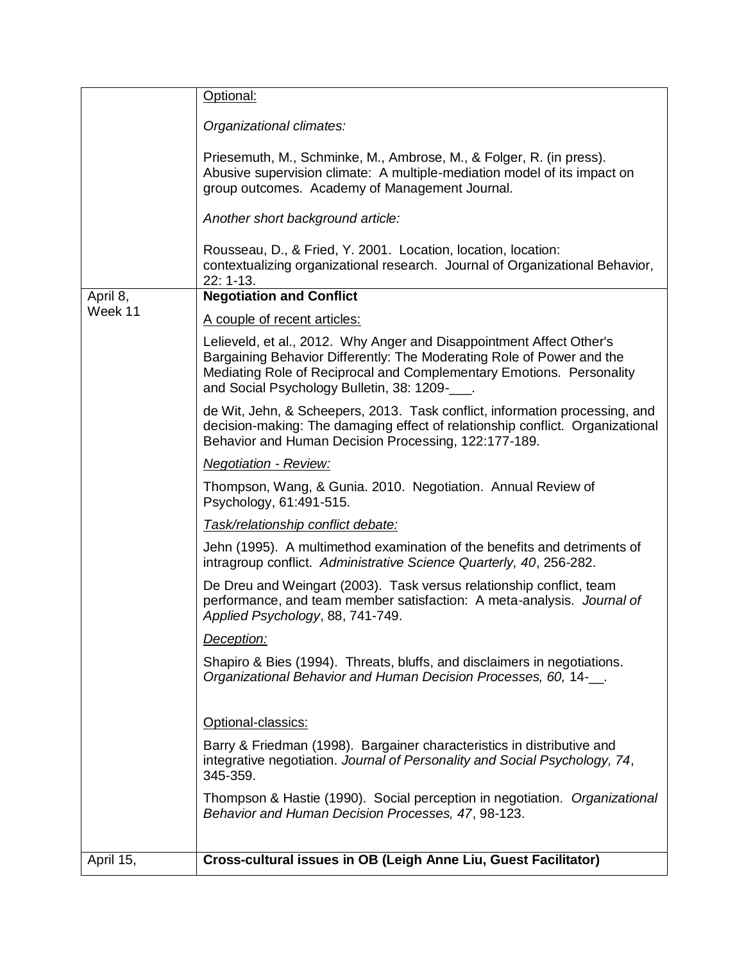|           | Optional:                                                                                                                                                                                                                                                               |
|-----------|-------------------------------------------------------------------------------------------------------------------------------------------------------------------------------------------------------------------------------------------------------------------------|
|           | Organizational climates:                                                                                                                                                                                                                                                |
|           | Priesemuth, M., Schminke, M., Ambrose, M., & Folger, R. (in press).<br>Abusive supervision climate: A multiple-mediation model of its impact on<br>group outcomes. Academy of Management Journal.                                                                       |
|           | Another short background article:                                                                                                                                                                                                                                       |
|           | Rousseau, D., & Fried, Y. 2001. Location, location, location:<br>contextualizing organizational research. Journal of Organizational Behavior,<br>$22: 1-13.$                                                                                                            |
| April 8,  | <b>Negotiation and Conflict</b>                                                                                                                                                                                                                                         |
| Week 11   | A couple of recent articles:                                                                                                                                                                                                                                            |
|           | Lelieveld, et al., 2012. Why Anger and Disappointment Affect Other's<br>Bargaining Behavior Differently: The Moderating Role of Power and the<br>Mediating Role of Reciprocal and Complementary Emotions. Personality<br>and Social Psychology Bulletin, 38: 1209-<br>. |
|           | de Wit, Jehn, & Scheepers, 2013. Task conflict, information processing, and<br>decision-making: The damaging effect of relationship conflict. Organizational<br>Behavior and Human Decision Processing, 122:177-189.                                                    |
|           | <b>Negotiation - Review:</b>                                                                                                                                                                                                                                            |
|           | Thompson, Wang, & Gunia. 2010. Negotiation. Annual Review of<br>Psychology, 61:491-515.                                                                                                                                                                                 |
|           | Task/relationship conflict debate:                                                                                                                                                                                                                                      |
|           | Jehn (1995). A multimethod examination of the benefits and detriments of<br>intragroup conflict. Administrative Science Quarterly, 40, 256-282.                                                                                                                         |
|           | De Dreu and Weingart (2003). Task versus relationship conflict, team<br>performance, and team member satisfaction: A meta-analysis. Journal of<br>Applied Psychology, 88, 741-749.                                                                                      |
|           | Deception:                                                                                                                                                                                                                                                              |
|           | Shapiro & Bies (1994). Threats, bluffs, and disclaimers in negotiations.<br>Organizational Behavior and Human Decision Processes, 60, 14-__.                                                                                                                            |
|           | Optional-classics:                                                                                                                                                                                                                                                      |
|           | Barry & Friedman (1998). Bargainer characteristics in distributive and<br>integrative negotiation. Journal of Personality and Social Psychology, 74,<br>345-359.                                                                                                        |
|           | Thompson & Hastie (1990). Social perception in negotiation. Organizational<br>Behavior and Human Decision Processes, 47, 98-123.                                                                                                                                        |
|           |                                                                                                                                                                                                                                                                         |
| April 15, | Cross-cultural issues in OB (Leigh Anne Liu, Guest Facilitator)                                                                                                                                                                                                         |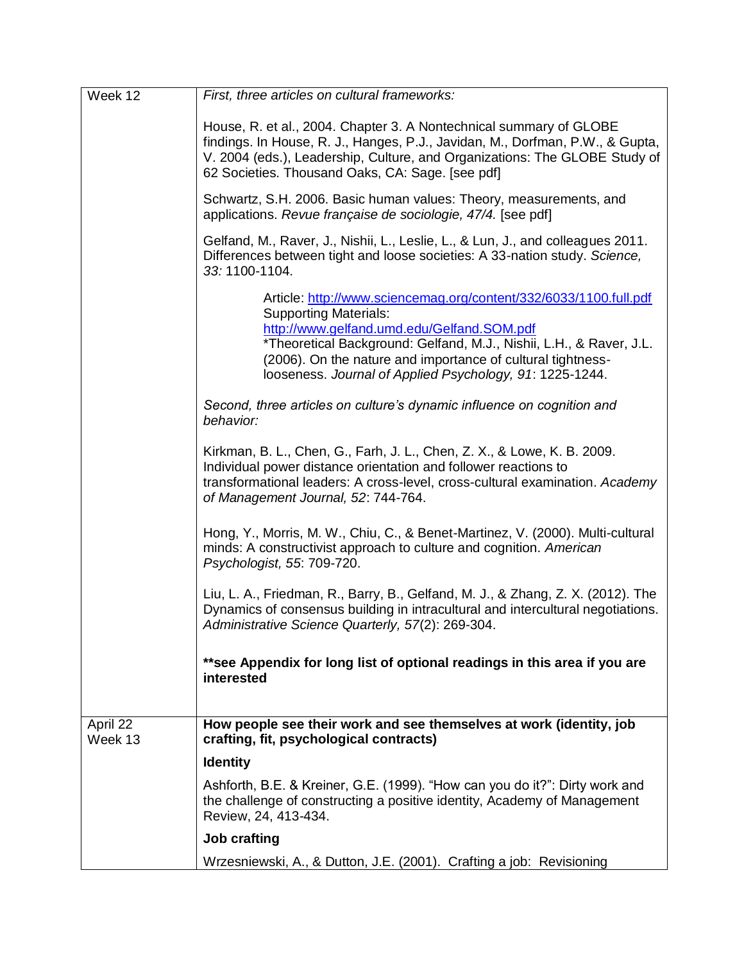| Week 12             | First, three articles on cultural frameworks:                                                                                                                                                                                                                                                                                                     |
|---------------------|---------------------------------------------------------------------------------------------------------------------------------------------------------------------------------------------------------------------------------------------------------------------------------------------------------------------------------------------------|
|                     | House, R. et al., 2004. Chapter 3. A Nontechnical summary of GLOBE<br>findings. In House, R. J., Hanges, P.J., Javidan, M., Dorfman, P.W., & Gupta,<br>V. 2004 (eds.), Leadership, Culture, and Organizations: The GLOBE Study of<br>62 Societies. Thousand Oaks, CA: Sage. [see pdf]                                                             |
|                     | Schwartz, S.H. 2006. Basic human values: Theory, measurements, and<br>applications. Revue française de sociologie, 47/4. [see pdf]                                                                                                                                                                                                                |
|                     | Gelfand, M., Raver, J., Nishii, L., Leslie, L., & Lun, J., and colleagues 2011.<br>Differences between tight and loose societies: A 33-nation study. Science,<br>33: 1100-1104.                                                                                                                                                                   |
|                     | Article: http://www.sciencemag.org/content/332/6033/1100.full.pdf<br><b>Supporting Materials:</b><br>http://www.gelfand.umd.edu/Gelfand.SOM.pdf<br>*Theoretical Background: Gelfand, M.J., Nishii, L.H., & Raver, J.L.<br>(2006). On the nature and importance of cultural tightness-<br>looseness. Journal of Applied Psychology, 91: 1225-1244. |
|                     | Second, three articles on culture's dynamic influence on cognition and<br>behavior:                                                                                                                                                                                                                                                               |
|                     | Kirkman, B. L., Chen, G., Farh, J. L., Chen, Z. X., & Lowe, K. B. 2009.<br>Individual power distance orientation and follower reactions to<br>transformational leaders: A cross-level, cross-cultural examination. Academy<br>of Management Journal, 52: 744-764.                                                                                 |
|                     | Hong, Y., Morris, M. W., Chiu, C., & Benet-Martinez, V. (2000). Multi-cultural<br>minds: A constructivist approach to culture and cognition. American<br>Psychologist, 55: 709-720.                                                                                                                                                               |
|                     | Liu, L. A., Friedman, R., Barry, B., Gelfand, M. J., & Zhang, Z. X. (2012). The<br>Dynamics of consensus building in intracultural and intercultural negotiations.<br>Administrative Science Quarterly, 57(2): 269-304.                                                                                                                           |
|                     | **see Appendix for long list of optional readings in this area if you are<br>interested                                                                                                                                                                                                                                                           |
| April 22<br>Week 13 | How people see their work and see themselves at work (identity, job<br>crafting, fit, psychological contracts)                                                                                                                                                                                                                                    |
|                     | <b>Identity</b>                                                                                                                                                                                                                                                                                                                                   |
|                     | Ashforth, B.E. & Kreiner, G.E. (1999). "How can you do it?": Dirty work and<br>the challenge of constructing a positive identity, Academy of Management<br>Review, 24, 413-434.                                                                                                                                                                   |
|                     | <b>Job crafting</b>                                                                                                                                                                                                                                                                                                                               |
|                     | Wrzesniewski, A., & Dutton, J.E. (2001). Crafting a job: Revisioning                                                                                                                                                                                                                                                                              |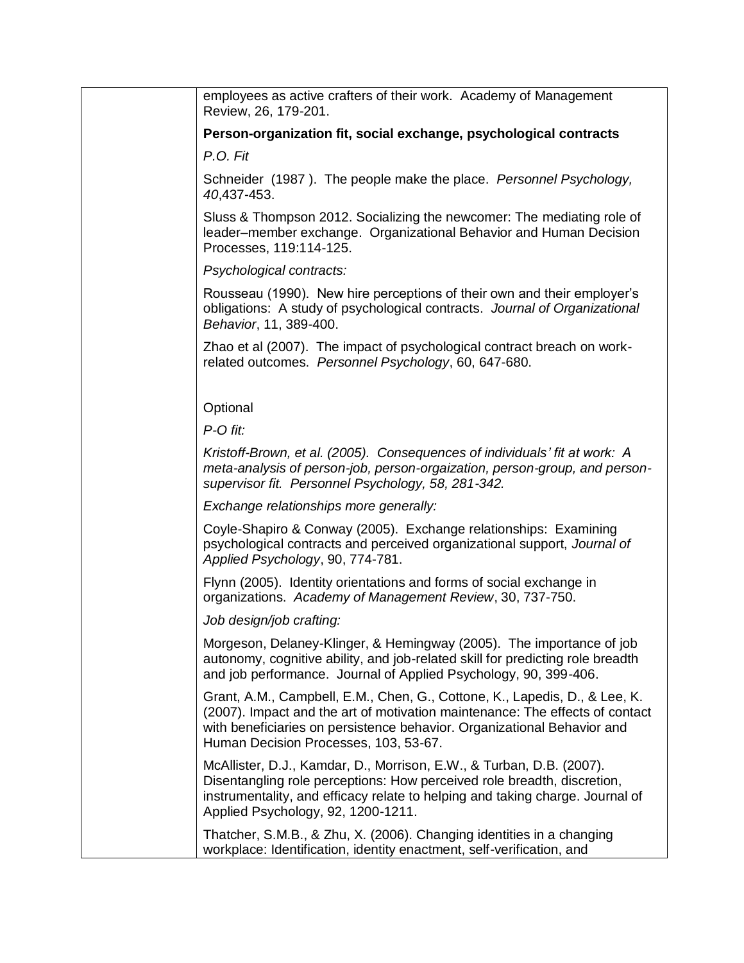| employees as active crafters of their work. Academy of Management<br>Review, 26, 179-201.                                                                                                                                                                                      |
|--------------------------------------------------------------------------------------------------------------------------------------------------------------------------------------------------------------------------------------------------------------------------------|
| Person-organization fit, social exchange, psychological contracts                                                                                                                                                                                                              |
| P.O. Fit                                                                                                                                                                                                                                                                       |
| Schneider (1987). The people make the place. Personnel Psychology,<br>40,437-453.                                                                                                                                                                                              |
| Sluss & Thompson 2012. Socializing the newcomer: The mediating role of<br>leader-member exchange. Organizational Behavior and Human Decision<br>Processes, 119:114-125.                                                                                                        |
| Psychological contracts:                                                                                                                                                                                                                                                       |
| Rousseau (1990). New hire perceptions of their own and their employer's<br>obligations: A study of psychological contracts. Journal of Organizational<br>Behavior, 11, 389-400.                                                                                                |
| Zhao et al (2007). The impact of psychological contract breach on work-<br>related outcomes. Personnel Psychology, 60, 647-680.                                                                                                                                                |
|                                                                                                                                                                                                                                                                                |
| Optional                                                                                                                                                                                                                                                                       |
| $P$ - $O$ fit:                                                                                                                                                                                                                                                                 |
| Kristoff-Brown, et al. (2005). Consequences of individuals' fit at work: A<br>meta-analysis of person-job, person-orgaization, person-group, and person-<br>supervisor fit. Personnel Psychology, 58, 281-342.                                                                 |
| Exchange relationships more generally:                                                                                                                                                                                                                                         |
| Coyle-Shapiro & Conway (2005). Exchange relationships: Examining<br>psychological contracts and perceived organizational support, Journal of<br>Applied Psychology, 90, 774-781.                                                                                               |
| Flynn (2005). Identity orientations and forms of social exchange in<br>organizations. Academy of Management Review, 30, 737-750.                                                                                                                                               |
| Job design/job crafting:                                                                                                                                                                                                                                                       |
| Morgeson, Delaney-Klinger, & Hemingway (2005). The importance of job<br>autonomy, cognitive ability, and job-related skill for predicting role breadth<br>and job performance. Journal of Applied Psychology, 90, 399-406.                                                     |
| Grant, A.M., Campbell, E.M., Chen, G., Cottone, K., Lapedis, D., & Lee, K.<br>(2007). Impact and the art of motivation maintenance: The effects of contact<br>with beneficiaries on persistence behavior. Organizational Behavior and<br>Human Decision Processes, 103, 53-67. |
| McAllister, D.J., Kamdar, D., Morrison, E.W., & Turban, D.B. (2007).<br>Disentangling role perceptions: How perceived role breadth, discretion,<br>instrumentality, and efficacy relate to helping and taking charge. Journal of<br>Applied Psychology, 92, 1200-1211.         |
| Thatcher, S.M.B., & Zhu, X. (2006). Changing identities in a changing<br>workplace: Identification, identity enactment, self-verification, and                                                                                                                                 |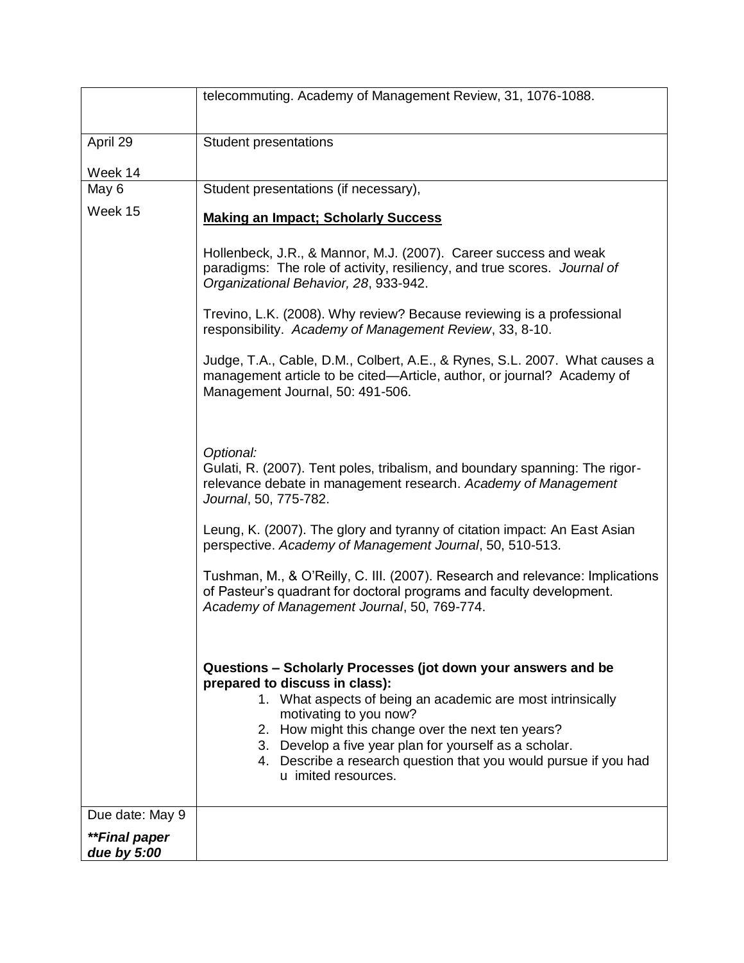|                              | telecommuting. Academy of Management Review, 31, 1076-1088.                                                                                                                                                                                                                                                                                                                 |
|------------------------------|-----------------------------------------------------------------------------------------------------------------------------------------------------------------------------------------------------------------------------------------------------------------------------------------------------------------------------------------------------------------------------|
|                              |                                                                                                                                                                                                                                                                                                                                                                             |
| April 29                     | <b>Student presentations</b>                                                                                                                                                                                                                                                                                                                                                |
|                              |                                                                                                                                                                                                                                                                                                                                                                             |
| Week 14<br>May 6             | Student presentations (if necessary),                                                                                                                                                                                                                                                                                                                                       |
| Week 15                      |                                                                                                                                                                                                                                                                                                                                                                             |
|                              | <b>Making an Impact; Scholarly Success</b>                                                                                                                                                                                                                                                                                                                                  |
|                              | Hollenbeck, J.R., & Mannor, M.J. (2007). Career success and weak<br>paradigms: The role of activity, resiliency, and true scores. Journal of<br>Organizational Behavior, 28, 933-942.                                                                                                                                                                                       |
|                              | Trevino, L.K. (2008). Why review? Because reviewing is a professional<br>responsibility. Academy of Management Review, 33, 8-10.                                                                                                                                                                                                                                            |
|                              | Judge, T.A., Cable, D.M., Colbert, A.E., & Rynes, S.L. 2007. What causes a<br>management article to be cited—Article, author, or journal? Academy of<br>Management Journal, 50: 491-506.                                                                                                                                                                                    |
|                              |                                                                                                                                                                                                                                                                                                                                                                             |
|                              | Optional:<br>Gulati, R. (2007). Tent poles, tribalism, and boundary spanning: The rigor-<br>relevance debate in management research. Academy of Management<br>Journal, 50, 775-782.                                                                                                                                                                                         |
|                              | Leung, K. (2007). The glory and tyranny of citation impact: An East Asian<br>perspective. Academy of Management Journal, 50, 510-513.                                                                                                                                                                                                                                       |
|                              | Tushman, M., & O'Reilly, C. III. (2007). Research and relevance: Implications<br>of Pasteur's quadrant for doctoral programs and faculty development.<br>Academy of Management Journal, 50, 769-774.                                                                                                                                                                        |
|                              | Questions - Scholarly Processes (jot down your answers and be<br>prepared to discuss in class):<br>1. What aspects of being an academic are most intrinsically<br>motivating to you now?<br>2. How might this change over the next ten years?<br>3. Develop a five year plan for yourself as a scholar.<br>4. Describe a research question that you would pursue if you had |
|                              | u imited resources.                                                                                                                                                                                                                                                                                                                                                         |
| Due date: May 9              |                                                                                                                                                                                                                                                                                                                                                                             |
| **Final paper<br>due by 5:00 |                                                                                                                                                                                                                                                                                                                                                                             |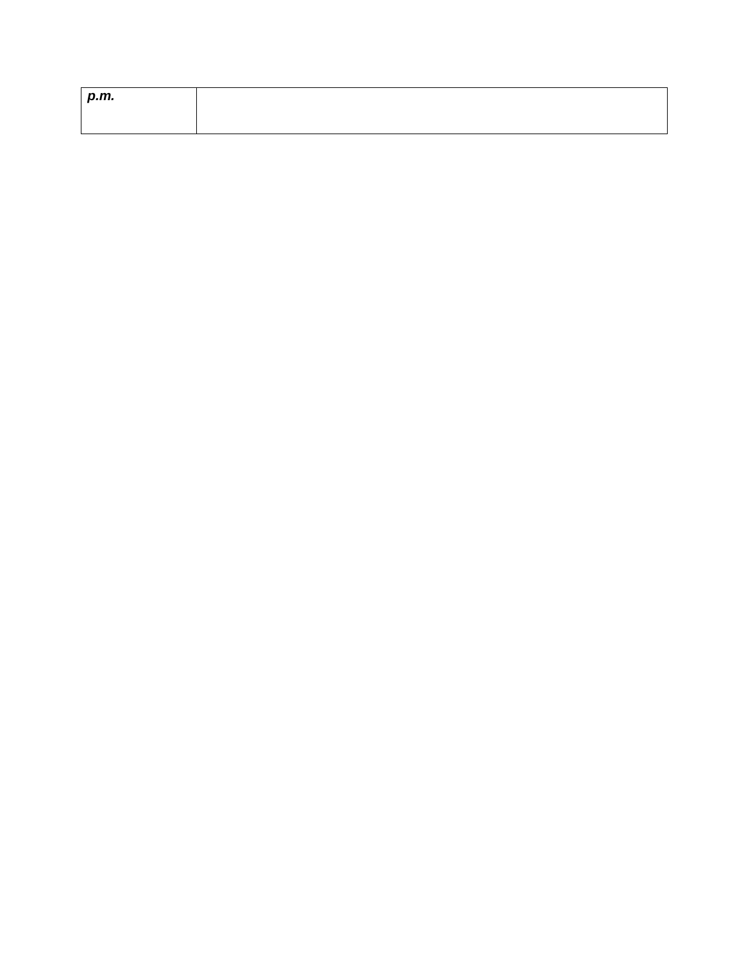| p.m. |  |
|------|--|
|      |  |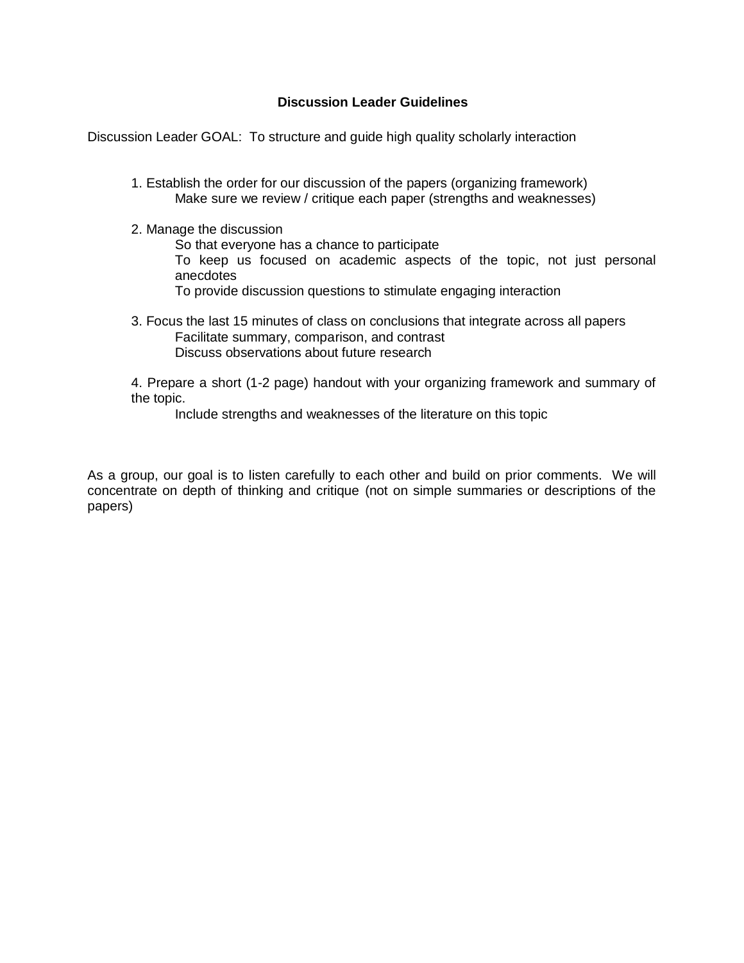### **Discussion Leader Guidelines**

Discussion Leader GOAL: To structure and guide high quality scholarly interaction

- 1. Establish the order for our discussion of the papers (organizing framework) Make sure we review / critique each paper (strengths and weaknesses)
- 2. Manage the discussion
	- So that everyone has a chance to participate To keep us focused on academic aspects of the topic, not just personal anecdotes To provide discussion questions to stimulate engaging interaction
	-
- 3. Focus the last 15 minutes of class on conclusions that integrate across all papers Facilitate summary, comparison, and contrast Discuss observations about future research

4. Prepare a short (1-2 page) handout with your organizing framework and summary of the topic.

Include strengths and weaknesses of the literature on this topic

As a group, our goal is to listen carefully to each other and build on prior comments. We will concentrate on depth of thinking and critique (not on simple summaries or descriptions of the papers)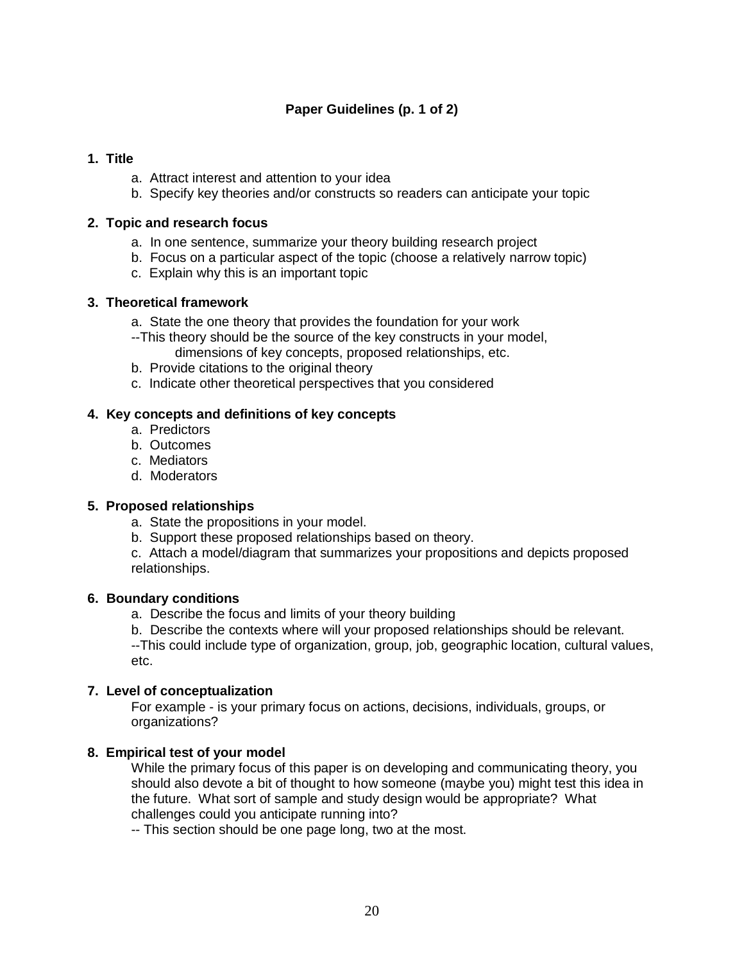# **Paper Guidelines (p. 1 of 2)**

## **1. Title**

- a. Attract interest and attention to your idea
- b. Specify key theories and/or constructs so readers can anticipate your topic

# **2. Topic and research focus**

- a. In one sentence, summarize your theory building research project
- b. Focus on a particular aspect of the topic (choose a relatively narrow topic)
- c. Explain why this is an important topic

# **3. Theoretical framework**

- a. State the one theory that provides the foundation for your work
- --This theory should be the source of the key constructs in your model, dimensions of key concepts, proposed relationships, etc.
- b. Provide citations to the original theory
- c. Indicate other theoretical perspectives that you considered

# **4. Key concepts and definitions of key concepts**

- a.Predictors
- b. Outcomes
- c. Mediators
- d. Moderators

# **5. Proposed relationships**

- a.State the propositions in your model.
- b. Support these proposed relationships based on theory.
- c. Attach a model/diagram that summarizes your propositions and depicts proposed relationships.

# **6. Boundary conditions**

- a. Describe the focus and limits of your theory building
- b. Describe the contexts where will your proposed relationships should be relevant.

--This could include type of organization, group, job, geographic location, cultural values, etc.

# **7. Level of conceptualization**

For example - is your primary focus on actions, decisions, individuals, groups, or organizations?

# **8. Empirical test of your model**

While the primary focus of this paper is on developing and communicating theory, you should also devote a bit of thought to how someone (maybe you) might test this idea in the future. What sort of sample and study design would be appropriate? What challenges could you anticipate running into?

-- This section should be one page long, two at the most.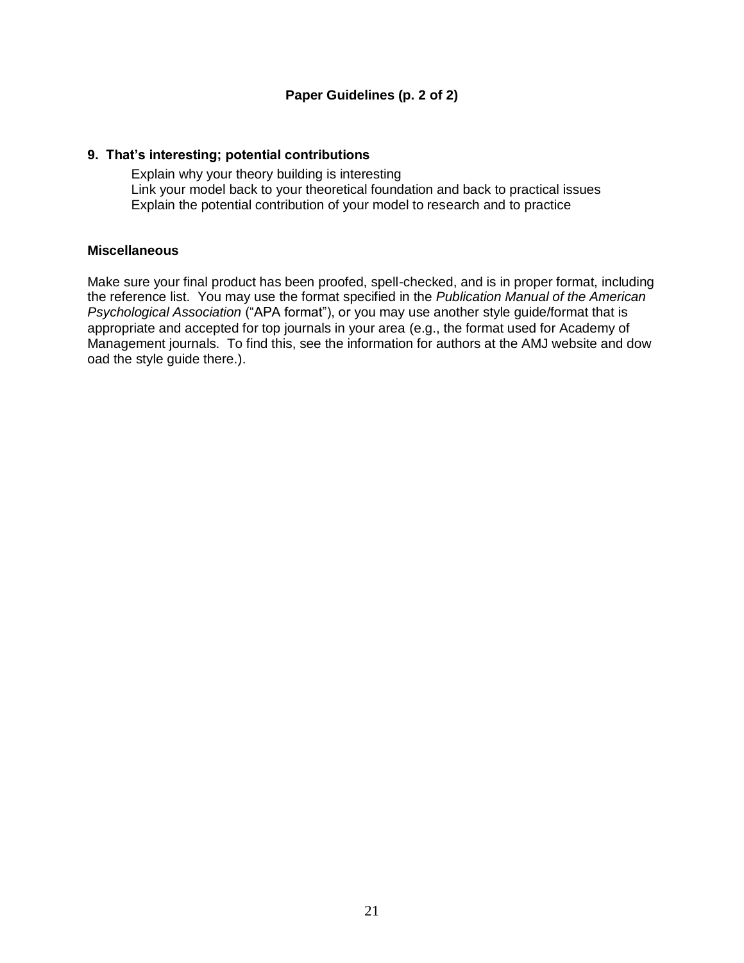# **9. That's interesting; potential contributions**

Explain why your theory building is interesting Link your model back to your theoretical foundation and back to practical issues Explain the potential contribution of your model to research and to practice

### **Miscellaneous**

Make sure your final product has been proofed, spell-checked, and is in proper format, including the reference list. You may use the format specified in the *Publication Manual of the American Psychological Association* ("APA format"), or you may use another style guide/format that is appropriate and accepted for top journals in your area (e.g., the format used for Academy of Management journals. To find this, see the information for authors at the AMJ website and dow oad the style guide there.).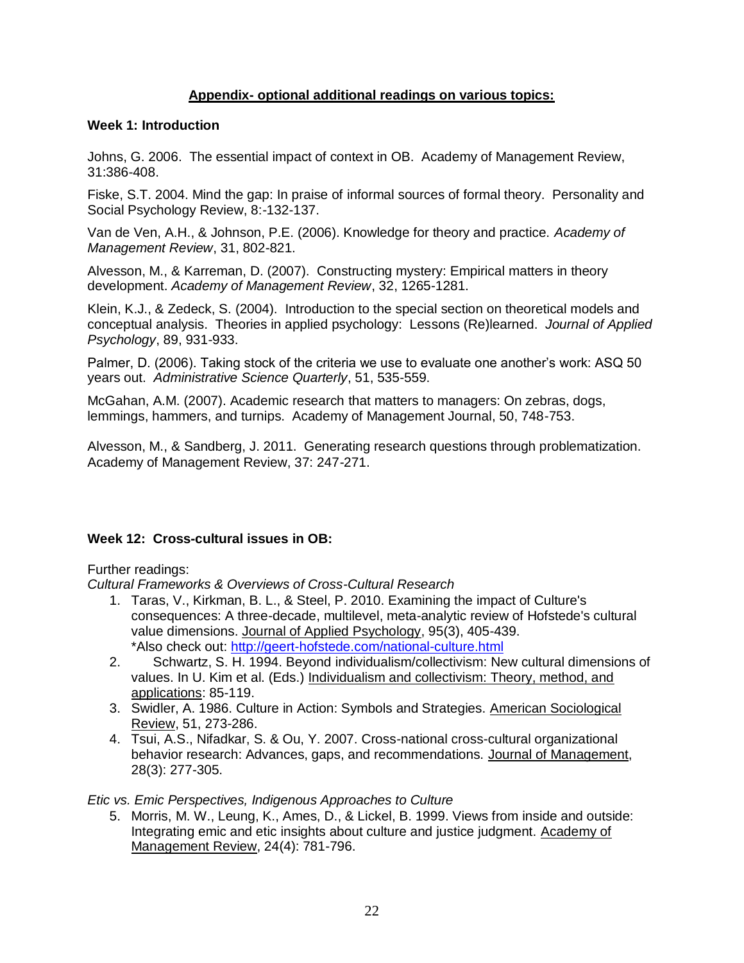# **Appendix- optional additional readings on various topics:**

#### **Week 1: Introduction**

Johns, G. 2006. The essential impact of context in OB. Academy of Management Review, 31:386-408.

Fiske, S.T. 2004. Mind the gap: In praise of informal sources of formal theory. Personality and Social Psychology Review, 8:-132-137.

Van de Ven, A.H., & Johnson, P.E. (2006). Knowledge for theory and practice. *Academy of Management Review*, 31, 802-821.

Alvesson, M., & Karreman, D. (2007). Constructing mystery: Empirical matters in theory development. *Academy of Management Review*, 32, 1265-1281.

Klein, K.J., & Zedeck, S. (2004). Introduction to the special section on theoretical models and conceptual analysis. Theories in applied psychology: Lessons (Re)learned. *Journal of Applied Psychology*, 89, 931-933.

Palmer, D. (2006). Taking stock of the criteria we use to evaluate one another's work: ASQ 50 years out. *Administrative Science Quarterly*, 51, 535-559.

McGahan, A.M. (2007). Academic research that matters to managers: On zebras, dogs, lemmings, hammers, and turnips. Academy of Management Journal, 50, 748-753.

Alvesson, M., & Sandberg, J. 2011. Generating research questions through problematization. Academy of Management Review, 37: 247-271.

### **Week 12: Cross-cultural issues in OB:**

#### Further readings:

*Cultural Frameworks & Overviews of Cross-Cultural Research*

- 1. Taras, V., Kirkman, B. L., & Steel, P. 2010. Examining the impact of Culture's consequences: A three-decade, multilevel, meta-analytic review of Hofstede's cultural value dimensions. Journal of Applied Psychology, 95(3), 405-439. \*Also check out:<http://geert-hofstede.com/national-culture.html>
- 2. Schwartz, S. H. 1994. Beyond individualism/collectivism: New cultural dimensions of values. In U. Kim et al. (Eds.) Individualism and collectivism: Theory, method, and applications: 85-119.
- 3. Swidler, A. 1986. Culture in Action: Symbols and Strategies. American Sociological Review, 51, 273-286.
- 4. Tsui, A.S., Nifadkar, S. & Ou, Y. 2007. Cross-national cross-cultural organizational behavior research: Advances, gaps, and recommendations. Journal of Management, 28(3): 277-305.

*Etic vs. Emic Perspectives, Indigenous Approaches to Culture*

5. Morris, M. W., Leung, K., Ames, D., & Lickel, B. 1999. Views from inside and outside: Integrating emic and etic insights about culture and justice judgment. Academy of Management Review, 24(4): 781-796.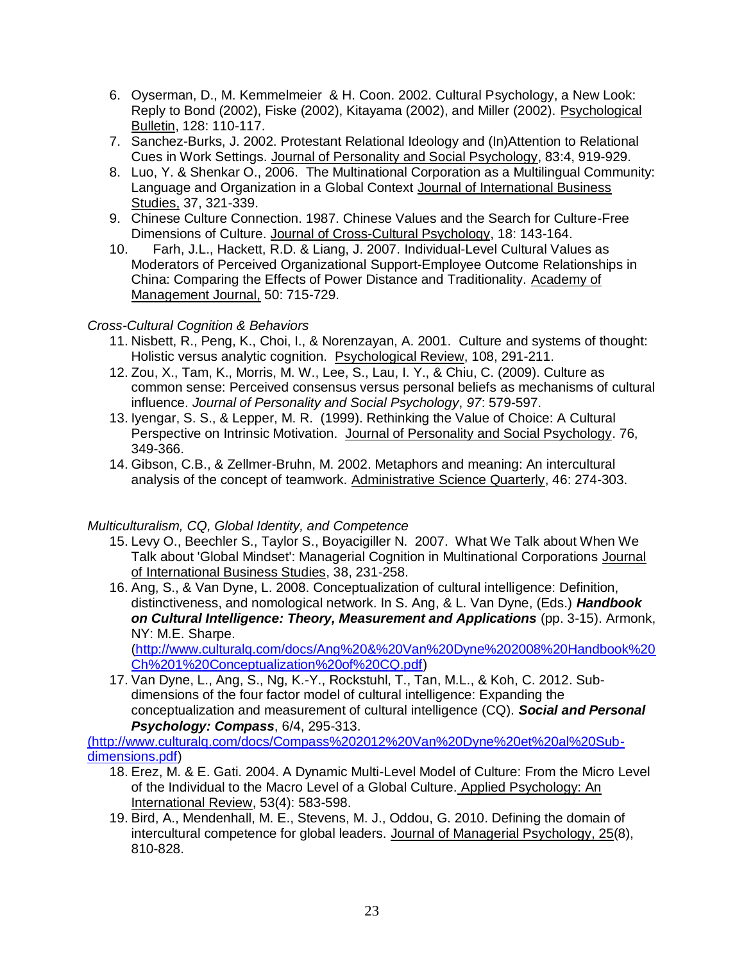- 6. Oyserman, D., M. Kemmelmeier & H. Coon. 2002. Cultural Psychology, a New Look: Reply to Bond (2002), Fiske (2002), Kitayama (2002), and Miller (2002). Psychological Bulletin, 128: 110-117.
- 7. Sanchez-Burks, J. 2002. Protestant Relational Ideology and (In)Attention to Relational Cues in Work Settings. Journal of Personality and Social Psychology, 83:4, 919-929.
- 8. Luo, Y. & Shenkar O., 2006. The Multinational Corporation as a Multilingual Community: Language and Organization in a Global Context Journal of International Business Studies, 37, 321-339.
- 9. Chinese Culture Connection. 1987. Chinese Values and the Search for Culture-Free Dimensions of Culture. Journal of Cross-Cultural Psychology, 18: 143-164.
- 10. Farh, J.L., Hackett, R.D. & Liang, J. 2007. Individual-Level Cultural Values as Moderators of Perceived Organizational Support-Employee Outcome Relationships in China: Comparing the Effects of Power Distance and Traditionality. Academy of Management Journal, 50: 715-729.

# *Cross-Cultural Cognition & Behaviors*

- 11. Nisbett, R., Peng, K., Choi, I., & Norenzayan, A. 2001. Culture and systems of thought: Holistic versus analytic cognition. Psychological Review, 108, 291-211.
- 12. Zou, X., Tam, K., Morris, M. W., Lee, S., Lau, I. Y., & Chiu, C. (2009). Culture as common sense: Perceived consensus versus personal beliefs as mechanisms of cultural influence. *Journal of Personality and Social Psychology*, *97*: 579-597.
- 13. Iyengar, S. S., & Lepper, M. R. (1999). Rethinking the Value of Choice: A Cultural Perspective on Intrinsic Motivation. Journal of Personality and Social Psychology. 76, 349-366.
- 14. Gibson, C.B., & Zellmer-Bruhn, M. 2002. Metaphors and meaning: An intercultural analysis of the concept of teamwork. Administrative Science Quarterly, 46: 274-303.

### *Multiculturalism, CQ, Global Identity, and Competence*

- 15. Levy O., Beechler S., Taylor S., Boyacigiller N. 2007. What We Talk about When We Talk about 'Global Mindset': Managerial Cognition in Multinational Corporations Journal of International Business Studies, 38, 231-258.
- 16. Ang, S., & Van Dyne, L. 2008. Conceptualization of cultural intelligence: Definition, distinctiveness, and nomological network. In S. Ang, & L. Van Dyne, (Eds.) *Handbook on Cultural Intelligence: Theory, Measurement and Applications* (pp. 3-15). Armonk, NY: M.E. Sharpe.

[\(http://www.culturalq.com/docs/Ang%20&%20Van%20Dyne%202008%20Handbook%20](http://www.culturalq.com/docs/Ang%20&%20Van%20Dyne%202008%20Handbook%20Ch%201%20Conceptualization%20of%20CQ.pdf) [Ch%201%20Conceptualization%20of%20CQ.pdf\)](http://www.culturalq.com/docs/Ang%20&%20Van%20Dyne%202008%20Handbook%20Ch%201%20Conceptualization%20of%20CQ.pdf)

17. Van Dyne, L., Ang, S., Ng, K.-Y., Rockstuhl, T., Tan, M.L., & Koh, C. 2012. Subdimensions of the four factor model of cultural intelligence: Expanding the conceptualization and measurement of cultural intelligence (CQ). *Social and Personal Psychology: Compass*, 6/4, 295-313.

[\(http://www.culturalq.com/docs/Compass%202012%20Van%20Dyne%20et%20al%20Sub](http://www.culturalq.com/docs/Compass%202012%20Van%20Dyne%20et%20al%20Sub-dimensions.pdf)[dimensions.pdf\)](http://www.culturalq.com/docs/Compass%202012%20Van%20Dyne%20et%20al%20Sub-dimensions.pdf)

- 18. Erez, M. & E. Gati. 2004. A Dynamic Multi-Level Model of Culture: From the Micro Level of the Individual to the Macro Level of a Global Culture. Applied Psychology: An International Review, 53(4): 583-598.
- 19. Bird, A., Mendenhall, M. E., Stevens, M. J., Oddou, G. 2010. Defining the domain of intercultural competence for global leaders. Journal of Managerial Psychology, 25(8), 810-828.